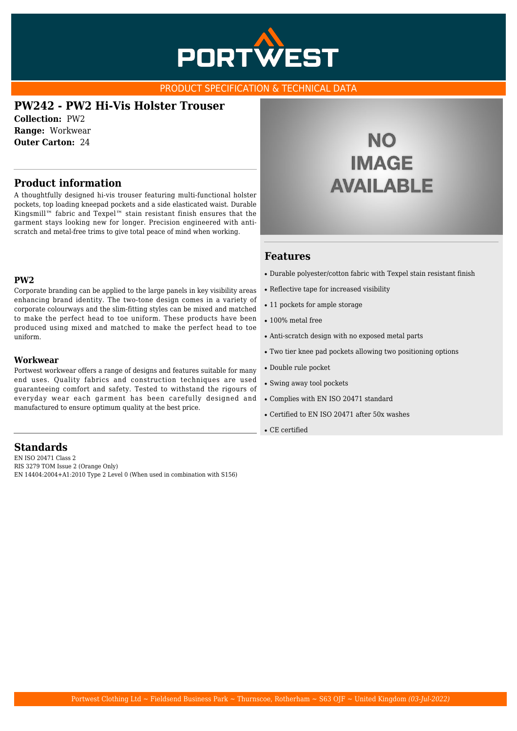

### PRODUCT SPECIFICATION & TECHNICAL DATA

# **PW242 - PW2 Hi-Vis Holster Trouser**

**Collection:** PW2 **Range:** Workwear **Outer Carton:** 24

## **Product information**

A thoughtfully designed hi-vis trouser featuring multi-functional holster pockets, top loading kneepad pockets and a side elasticated waist. Durable Kingsmill™ fabric and Texpel™ stain resistant finish ensures that the garment stays looking new for longer. Precision engineered with antiscratch and metal-free trims to give total peace of mind when working.

### **PW2**

Corporate branding can be applied to the large panels in key visibility areas enhancing brand identity. The two-tone design comes in a variety of corporate colourways and the slim-fitting styles can be mixed and matched to make the perfect head to toe uniform. These products have been produced using mixed and matched to make the perfect head to toe uniform.

#### **Workwear**

Portwest workwear offers a range of designs and features suitable for many end uses. Quality fabrics and construction techniques are used guaranteeing comfort and safety. Tested to withstand the rigours of everyday wear each garment has been carefully designed and manufactured to ensure optimum quality at the best price.

## **Standards**

EN ISO 20471 Class 2 RIS 3279 TOM Issue 2 (Orange Only) EN 14404:2004+A1:2010 Type 2 Level 0 (When used in combination with S156)

# **NO IMAGE AVAILABLE**

### **Features**

- Durable polyester/cotton fabric with Texpel stain resistant finish
- Reflective tape for increased visibility
- 11 pockets for ample storage
- $\cdot$  100% metal free
- Anti-scratch design with no exposed metal parts
- Two tier knee pad pockets allowing two positioning options
- Double rule pocket
- Swing away tool pockets
- Complies with EN ISO 20471 standard
- Certified to EN ISO 20471 after 50x washes
- CE certified